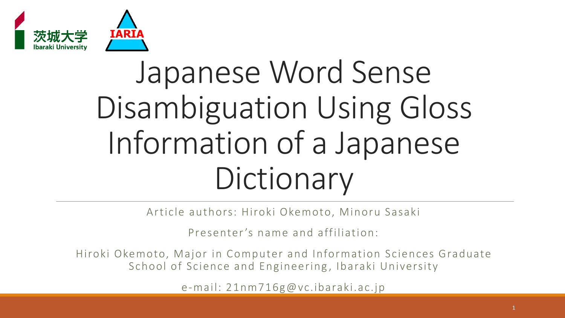

# Japanese Word Sense Disambiguation Using Gloss Information of a Japanese **Dictionary**

Article authors: Hiroki Okemoto, Minoru Sasaki

Presenter's name and affiliation:

Hiroki Okemoto, Major in Computer and Information Sciences Graduate School of Science and Engineering, Ibaraki University

e-mail: 21nm716g@vc.ibaraki.ac.jp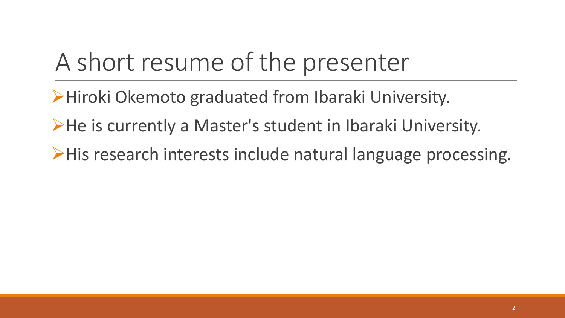#### A short resume of the presenter

➢Hiroki Okemoto graduated from Ibaraki University.

➢He is currently a Master's student in Ibaraki University.

➢His research interests include natural language processing.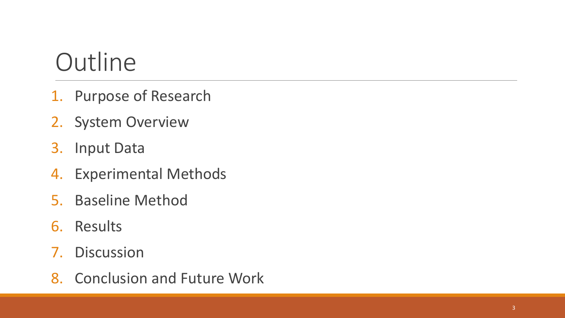#### **Outline**

- 1. Purpose of Research
- 2. System Overview
- 3. Input Data
- 4. Experimental Methods
- 5. Baseline Method
- 6. Results
- 7. Discussion
- 8. Conclusion and Future Work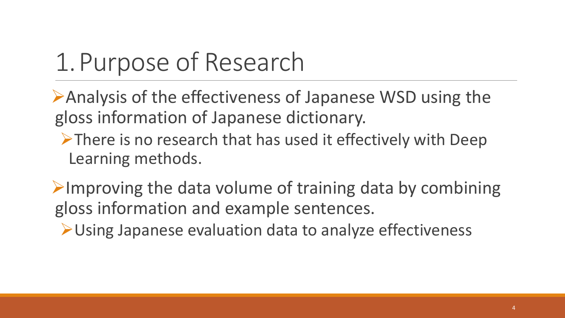#### 1.Purpose of Research

➢Analysis of the effectiveness of Japanese WSD using the gloss information of Japanese dictionary.

➢There is no research that has used it effectively with Deep Learning methods.

 $\triangleright$ Improving the data volume of training data by combining gloss information and example sentences.

➢Using Japanese evaluation data to analyze effectiveness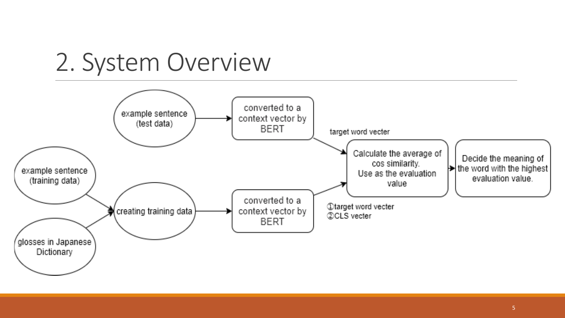

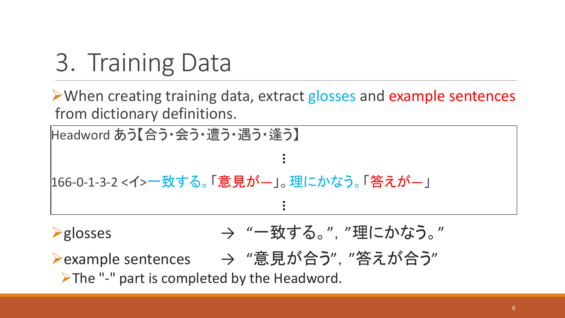## 3. Training Data

➢When creating training data, extract glosses and example sentences from dictionary definitions.

 $\ddot{\bullet}$ 

 $\ddot{\bullet}$ 

Headword あう【合う・会う・遭う・遇う・逢う】

166-0-1-3-2 <イ>一致する。「意見が―」。理にかなう。「答えが―」

- **→ "一致する。", "理にかなう。"**
- **→ Pexample sentences → "意見が合う", "答えが合う"**

➢The "-" part is completed by the Headword.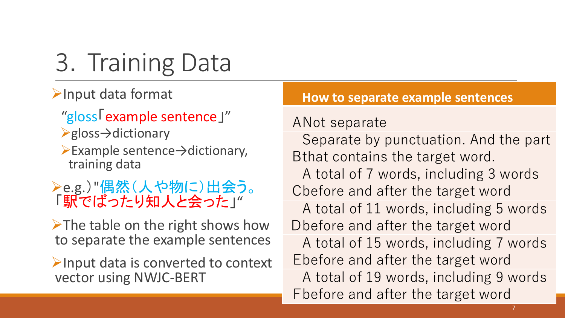3. Training Data ➢Input data format "gloss「example sentence」" ➢gloss→dictionary ➢Example sentence→dictionary, training data ➢e.g.)"偶然(人や物に)出会う。 「駅でばったり知人と会った」" ➢The table on the right shows how to separate the example sentences ➢Input data is converted to context vector using NWJC-BERT ANot separate

#### **How to separate example sentences**

B that contains the target word. Separate by punctuation. And the part C before and after the target word A total of 7 words, including 3 words D before and after the target word A total of 11 words, including 5 words E before and after the target word A total of 15 words, including 7 words F before and after the target word A total of 19 words, including 9 words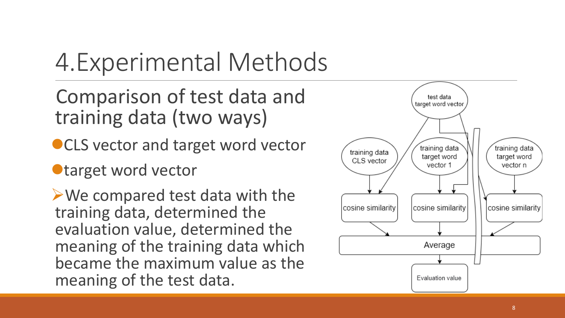### 4.Experimental Methods

Comparison of test data and training data (two ways)

- CLS vector and target word vector
- ⚫target word vector

➢We compared test data with the training data, determined the evaluation value, determined the meaning of the training data which became the maximum value as the meaning of the test data.

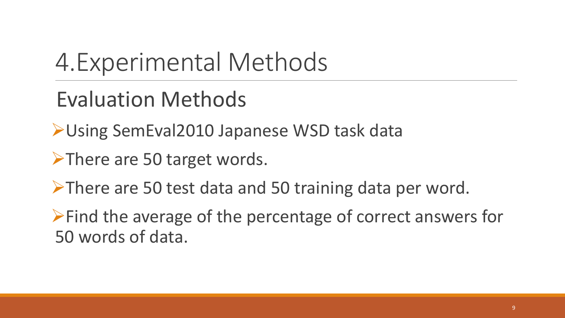#### 4.Experimental Methods

#### Evaluation Methods

➢Using SemEval2010 Japanese WSD task data

➢There are 50 target words.

➢There are 50 test data and 50 training data per word.

➢Find the average of the percentage of correct answers for 50 words of data.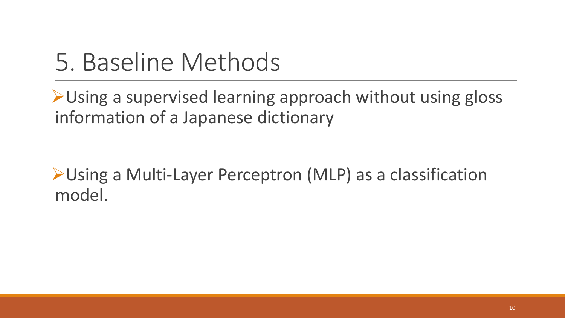#### 5. Baseline Methods

➢Using a supervised learning approach without using gloss information of a Japanese dictionary

➢Using a Multi-Layer Perceptron (MLP) as a classification model.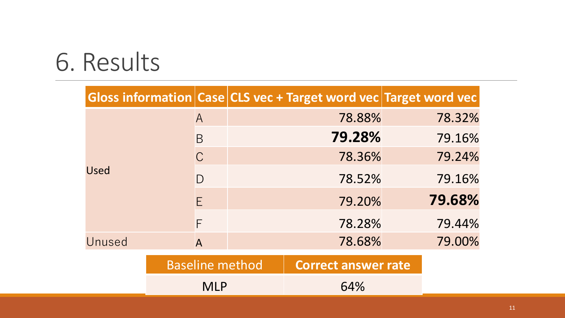#### 6. Results

|             |                        |  | Gloss information Case CLS vec + Target word vec Target word vec |  |        |
|-------------|------------------------|--|------------------------------------------------------------------|--|--------|
|             | $\mathsf{A}$           |  | 78.88%                                                           |  | 78.32% |
|             | B                      |  | 79.28%                                                           |  | 79.16% |
|             | $\mathcal{C}$          |  | 78.36%                                                           |  | 79.24% |
| <b>Used</b> | $\bigcap$              |  | 78.52%                                                           |  | 79.16% |
|             | E                      |  | 79.20%                                                           |  | 79.68% |
|             | F                      |  | 78.28%                                                           |  | 79.44% |
| Unused      | $\overline{A}$         |  | 78.68%                                                           |  | 79.00% |
|             | <b>Baseline method</b> |  | <b>Correct answer rate</b>                                       |  |        |
|             | <b>MLP</b>             |  | 64%                                                              |  |        |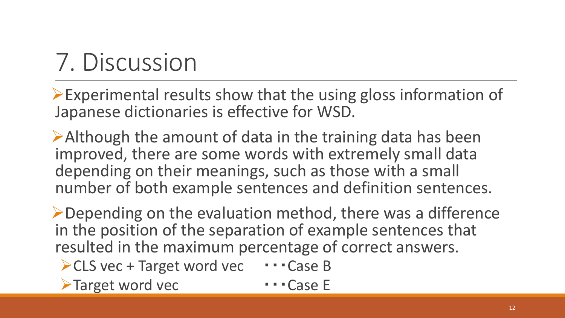## 7. Discussion

➢Experimental results show that the using gloss information of Japanese dictionaries is effective for WSD.

➢Although the amount of data in the training data has been improved, there are some words with extremely small data depending on their meanings, such as those with a small number of both example sentences and definition sentences.

➢Depending on the evaluation method, there was a difference in the position of the separation of example sentences that resulted in the maximum percentage of correct answers.

- ➢CLS vec + Target word vec ・・・Case B
- ➢Target word vec ・・・Case E